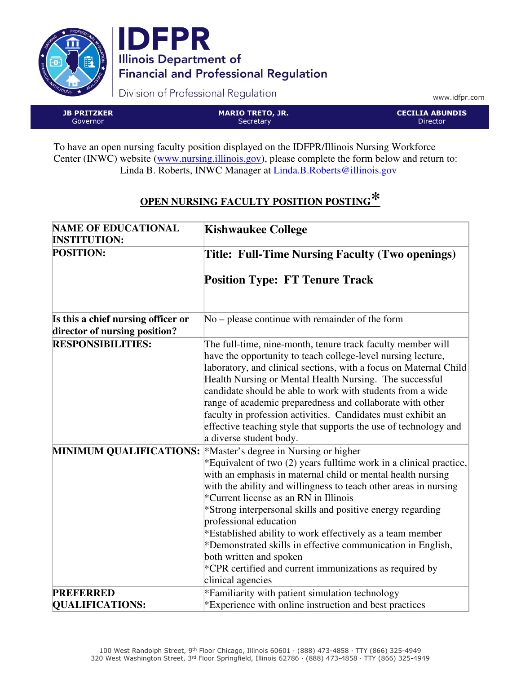



Division of Professional Regulation

www.idfpr.com

JB PRITZKER Governor MARIO TRETO, JR. **Secretary** CECILIA ABUNDIS Director

To have an open nursing faculty position displayed on the IDFPR/Illinois Nursing Workforce Center (INWC) website (www.nursing.illinois.gov), please complete the form below and return to: Linda B. Roberts, INWC Manager at Linda.B.Roberts@illinois.gov

## **OPEN NURSING FACULTY POSITION POSTING\***

| <b>NAME OF EDUCATIONAL</b>                                          | <b>Kishwaukee College</b>                                                                                                                                                                                                                                                                                                                                                                                                                                                                                                                                                                                                 |
|---------------------------------------------------------------------|---------------------------------------------------------------------------------------------------------------------------------------------------------------------------------------------------------------------------------------------------------------------------------------------------------------------------------------------------------------------------------------------------------------------------------------------------------------------------------------------------------------------------------------------------------------------------------------------------------------------------|
| <b>INSTITUTION:</b>                                                 |                                                                                                                                                                                                                                                                                                                                                                                                                                                                                                                                                                                                                           |
| <b>POSITION:</b>                                                    | Title: Full-Time Nursing Faculty (Two openings)                                                                                                                                                                                                                                                                                                                                                                                                                                                                                                                                                                           |
|                                                                     | <b>Position Type: FT Tenure Track</b>                                                                                                                                                                                                                                                                                                                                                                                                                                                                                                                                                                                     |
| Is this a chief nursing officer or<br>director of nursing position? | $No$ – please continue with remainder of the form                                                                                                                                                                                                                                                                                                                                                                                                                                                                                                                                                                         |
| <b>RESPONSIBILITIES:</b>                                            | The full-time, nine-month, tenure track faculty member will<br>have the opportunity to teach college-level nursing lecture,<br>laboratory, and clinical sections, with a focus on Maternal Child<br>Health Nursing or Mental Health Nursing. The successful<br>candidate should be able to work with students from a wide<br>range of academic preparedness and collaborate with other<br>faculty in profession activities. Candidates must exhibit an<br>effective teaching style that supports the use of technology and<br>a diverse student body.                                                                     |
| <b>MINIMUM QUALIFICATIONS:</b>                                      | *Master's degree in Nursing or higher<br>*Equivalent of two (2) years fulltime work in a clinical practice,<br>with an emphasis in maternal child or mental health nursing<br>with the ability and willingness to teach other areas in nursing<br>*Current license as an RN in Illinois<br>*Strong interpersonal skills and positive energy regarding<br>professional education<br>*Established ability to work effectively as a team member<br>*Demonstrated skills in effective communication in English,<br>both written and spoken<br>$*$ CPR certified and current immunizations as required by<br>clinical agencies |
| <b>PREFERRED</b>                                                    | *Familiarity with patient simulation technology                                                                                                                                                                                                                                                                                                                                                                                                                                                                                                                                                                           |
| <b>QUALIFICATIONS:</b>                                              | *Experience with online instruction and best practices                                                                                                                                                                                                                                                                                                                                                                                                                                                                                                                                                                    |